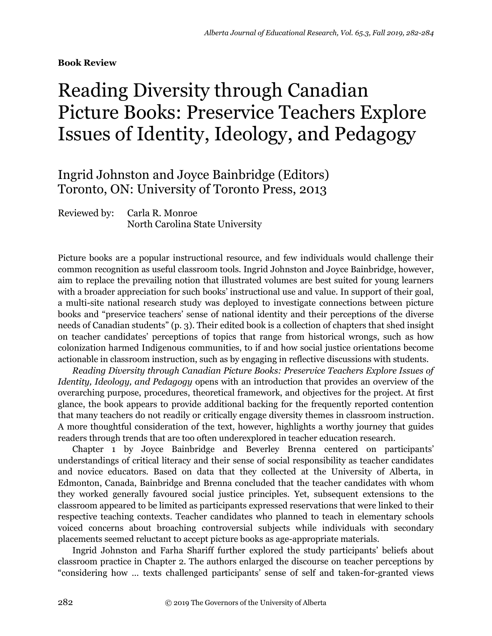**Book Review**

## Reading Diversity through Canadian Picture Books: Preservice Teachers Explore Issues of Identity, Ideology, and Pedagogy

## Ingrid Johnston and Joyce Bainbridge (Editors) Toronto, ON: University of Toronto Press, 2013

## Reviewed by: Carla R. Monroe North Carolina State University

Picture books are a popular instructional resource, and few individuals would challenge their common recognition as useful classroom tools. Ingrid Johnston and Joyce Bainbridge, however, aim to replace the prevailing notion that illustrated volumes are best suited for young learners with a broader appreciation for such books' instructional use and value. In support of their goal, a multi-site national research study was deployed to investigate connections between picture books and "preservice teachers' sense of national identity and their perceptions of the diverse needs of Canadian students" (p. 3). Their edited book is a collection of chapters that shed insight on teacher candidates' perceptions of topics that range from historical wrongs, such as how colonization harmed Indigenous communities, to if and how social justice orientations become actionable in classroom instruction, such as by engaging in reflective discussions with students.

*Reading Diversity through Canadian Picture Books: Preservice Teachers Explore Issues of Identity, Ideology, and Pedagogy* opens with an introduction that provides an overview of the overarching purpose, procedures, theoretical framework, and objectives for the project. At first glance, the book appears to provide additional backing for the frequently reported contention that many teachers do not readily or critically engage diversity themes in classroom instruction. A more thoughtful consideration of the text, however, highlights a worthy journey that guides readers through trends that are too often underexplored in teacher education research.

Chapter 1 by Joyce Bainbridge and Beverley Brenna centered on participants' understandings of critical literacy and their sense of social responsibility as teacher candidates and novice educators. Based on data that they collected at the University of Alberta, in Edmonton, Canada, Bainbridge and Brenna concluded that the teacher candidates with whom they worked generally favoured social justice principles. Yet, subsequent extensions to the classroom appeared to be limited as participants expressed reservations that were linked to their respective teaching contexts. Teacher candidates who planned to teach in elementary schools voiced concerns about broaching controversial subjects while individuals with secondary placements seemed reluctant to accept picture books as age-appropriate materials.

Ingrid Johnston and Farha Shariff further explored the study participants' beliefs about classroom practice in Chapter 2. The authors enlarged the discourse on teacher perceptions by "considering how … texts challenged participants' sense of self and taken-for-granted views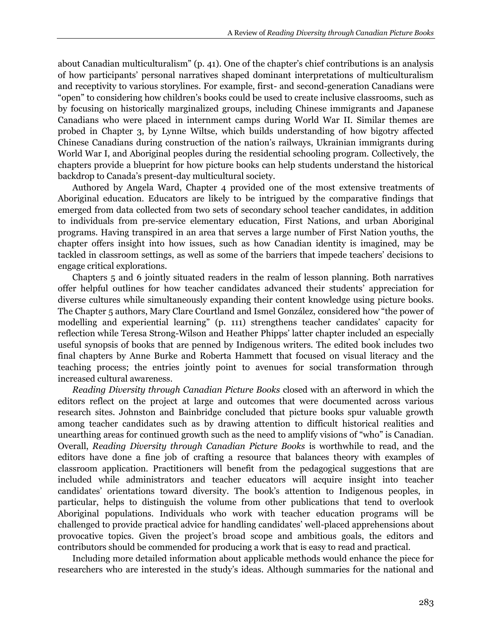about Canadian multiculturalism" (p. 41). One of the chapter's chief contributions is an analysis of how participants' personal narratives shaped dominant interpretations of multiculturalism and receptivity to various storylines. For example, first- and second-generation Canadians were "open" to considering how children's books could be used to create inclusive classrooms, such as by focusing on historically marginalized groups, including Chinese immigrants and Japanese Canadians who were placed in internment camps during World War II. Similar themes are probed in Chapter 3, by Lynne Wiltse, which builds understanding of how bigotry affected Chinese Canadians during construction of the nation's railways, Ukrainian immigrants during World War I, and Aboriginal peoples during the residential schooling program. Collectively, the chapters provide a blueprint for how picture books can help students understand the historical backdrop to Canada's present-day multicultural society.

Authored by Angela Ward, Chapter 4 provided one of the most extensive treatments of Aboriginal education. Educators are likely to be intrigued by the comparative findings that emerged from data collected from two sets of secondary school teacher candidates, in addition to individuals from pre-service elementary education, First Nations, and urban Aboriginal programs. Having transpired in an area that serves a large number of First Nation youths, the chapter offers insight into how issues, such as how Canadian identity is imagined, may be tackled in classroom settings, as well as some of the barriers that impede teachers' decisions to engage critical explorations.

Chapters 5 and 6 jointly situated readers in the realm of lesson planning. Both narratives offer helpful outlines for how teacher candidates advanced their students' appreciation for diverse cultures while simultaneously expanding their content knowledge using picture books. The Chapter 5 authors, Mary Clare Courtland and Ismel González, considered how "the power of modelling and experiential learning" (p. 111) strengthens teacher candidates' capacity for reflection while Teresa Strong-Wilson and Heather Phipps' latter chapter included an especially useful synopsis of books that are penned by Indigenous writers. The edited book includes two final chapters by Anne Burke and Roberta Hammett that focused on visual literacy and the teaching process; the entries jointly point to avenues for social transformation through increased cultural awareness.

*Reading Diversity through Canadian Picture Books* closed with an afterword in which the editors reflect on the project at large and outcomes that were documented across various research sites. Johnston and Bainbridge concluded that picture books spur valuable growth among teacher candidates such as by drawing attention to difficult historical realities and unearthing areas for continued growth such as the need to amplify visions of "who" is Canadian. Overall, *Reading Diversity through Canadian Picture Books* is worthwhile to read, and the editors have done a fine job of crafting a resource that balances theory with examples of classroom application. Practitioners will benefit from the pedagogical suggestions that are included while administrators and teacher educators will acquire insight into teacher candidates' orientations toward diversity. The book's attention to Indigenous peoples, in particular, helps to distinguish the volume from other publications that tend to overlook Aboriginal populations. Individuals who work with teacher education programs will be challenged to provide practical advice for handling candidates' well-placed apprehensions about provocative topics. Given the project's broad scope and ambitious goals, the editors and contributors should be commended for producing a work that is easy to read and practical.

Including more detailed information about applicable methods would enhance the piece for researchers who are interested in the study's ideas. Although summaries for the national and